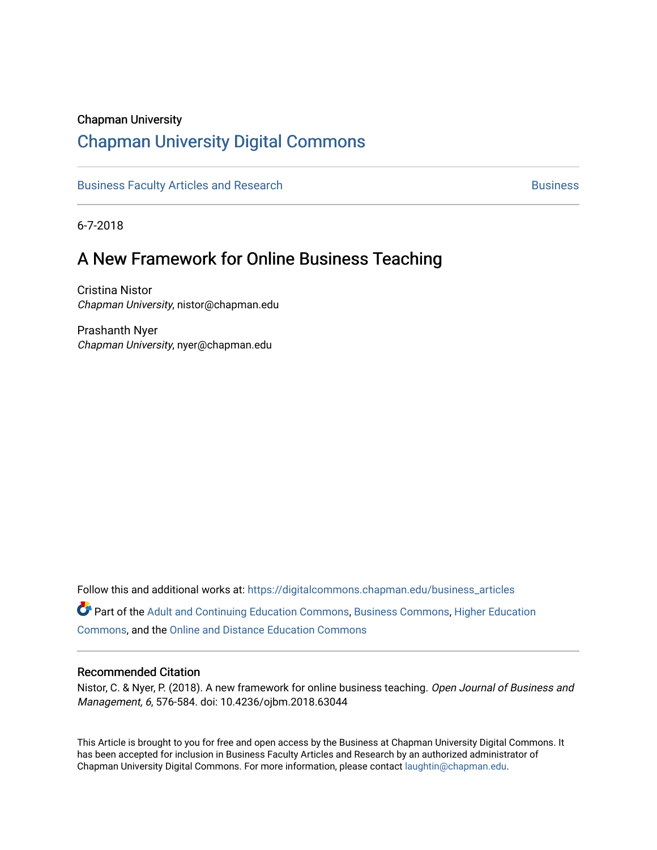#### Chapman University

# [Chapman University Digital Commons](https://digitalcommons.chapman.edu/)

[Business Faculty Articles and Research](https://digitalcommons.chapman.edu/business_articles) [Business](https://digitalcommons.chapman.edu/business) **Business** Business

6-7-2018

# A New Framework for Online Business Teaching

Cristina Nistor Chapman University, nistor@chapman.edu

Prashanth Nyer Chapman University, nyer@chapman.edu

Follow this and additional works at: [https://digitalcommons.chapman.edu/business\\_articles](https://digitalcommons.chapman.edu/business_articles?utm_source=digitalcommons.chapman.edu%2Fbusiness_articles%2F66&utm_medium=PDF&utm_campaign=PDFCoverPages) 

Part of the [Adult and Continuing Education Commons,](http://network.bepress.com/hgg/discipline/1375?utm_source=digitalcommons.chapman.edu%2Fbusiness_articles%2F66&utm_medium=PDF&utm_campaign=PDFCoverPages) [Business Commons](http://network.bepress.com/hgg/discipline/622?utm_source=digitalcommons.chapman.edu%2Fbusiness_articles%2F66&utm_medium=PDF&utm_campaign=PDFCoverPages), [Higher Education](http://network.bepress.com/hgg/discipline/1245?utm_source=digitalcommons.chapman.edu%2Fbusiness_articles%2F66&utm_medium=PDF&utm_campaign=PDFCoverPages)  [Commons](http://network.bepress.com/hgg/discipline/1245?utm_source=digitalcommons.chapman.edu%2Fbusiness_articles%2F66&utm_medium=PDF&utm_campaign=PDFCoverPages), and the [Online and Distance Education Commons](http://network.bepress.com/hgg/discipline/1296?utm_source=digitalcommons.chapman.edu%2Fbusiness_articles%2F66&utm_medium=PDF&utm_campaign=PDFCoverPages) 

#### Recommended Citation

Nistor, C. & Nyer, P. (2018). A new framework for online business teaching. Open Journal of Business and Management, 6, 576-584. doi: 10.4236/ojbm.2018.63044

This Article is brought to you for free and open access by the Business at Chapman University Digital Commons. It has been accepted for inclusion in Business Faculty Articles and Research by an authorized administrator of Chapman University Digital Commons. For more information, please contact [laughtin@chapman.edu](mailto:laughtin@chapman.edu).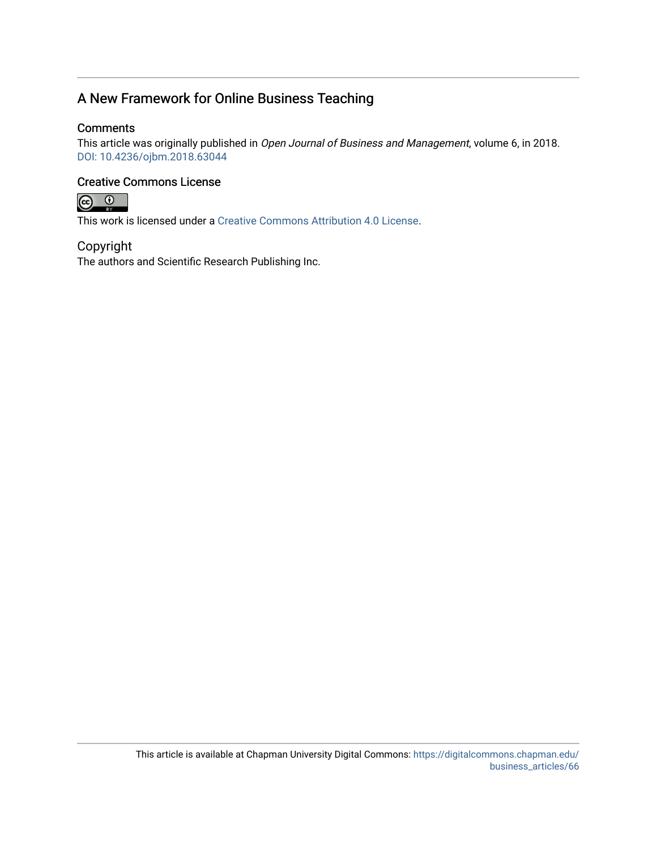# A New Framework for Online Business Teaching

## **Comments**

This article was originally published in Open Journal of Business and Management, volume 6, in 2018. [DOI: 10.4236/ojbm.2018.63044](https://doi.org/10.4236/ojbm.2018.63044) 

## Creative Commons License



This work is licensed under a [Creative Commons Attribution 4.0 License](https://creativecommons.org/licenses/by/4.0/).

## Copyright

The authors and Scientific Research Publishing Inc.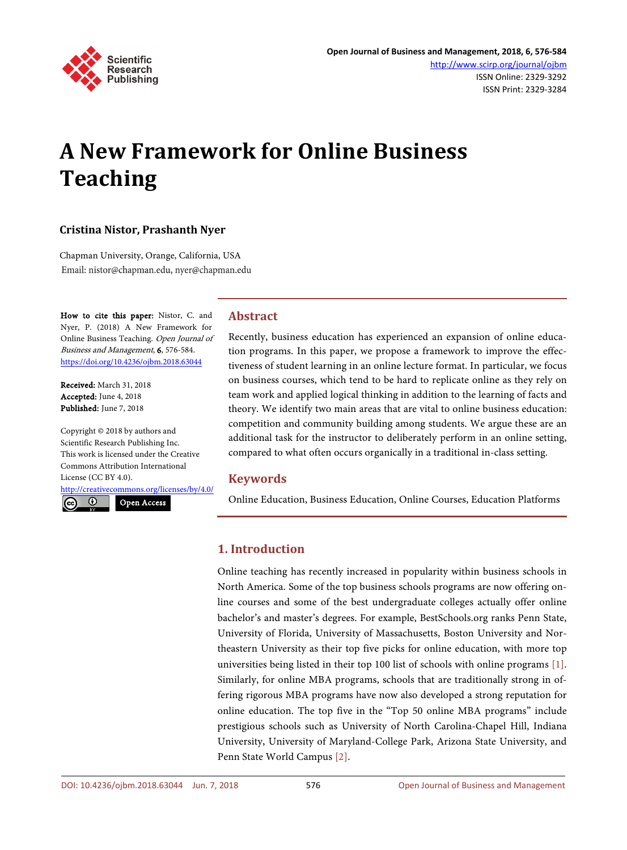

# **A New Framework for Online Business Teaching**

#### **Cristina Nistor, Prashanth Nyer**

Chapman University, Orange, California, USA Email: nistor@chapman.edu, nyer@chapman.edu

How to cite this paper: Nistor, C. and Nyer, P. (2018) A New Framework for Online Business Teaching. Open Journal of Business and Management, 6, 576-584. <https://doi.org/10.4236/ojbm.2018.63044>

Received: March 31, 2018 Accepted: June 4, 2018 Published: June 7, 2018

Copyright © 2018 by authors and Scientific Research Publishing Inc. This work is licensed under the Creative Commons Attribution International License (CC BY 4.0).

<http://creativecommons.org/licenses/by/4.0/>

 $\odot$ 

Open Access

## **Abstract**

Recently, business education has experienced an expansion of online education programs. In this paper, we propose a framework to improve the effectiveness of student learning in an online lecture format. In particular, we focus on business courses, which tend to be hard to replicate online as they rely on team work and applied logical thinking in addition to the learning of facts and theory. We identify two main areas that are vital to online business education: competition and community building among students. We argue these are an additional task for the instructor to deliberately perform in an online setting, compared to what often occurs organically in a traditional in-class setting.

#### **Keywords**

Online Education, Business Education, Online Courses, Education Platforms

## **1. Introduction**

Online teaching has recently increased in popularity within business schools in North America. Some of the top business schools programs are now offering online courses and some of the best undergraduate colleges actually offer online bachelor's and master's degrees. For example, BestSchools.org ranks Penn State, University of Florida, University of Massachusetts, Boston University and Northeastern University as their top five picks for online education, with more top universities being listed in their top 100 list of schools with online programs [\[1\].](#page-9-0)  Similarly, for online MBA programs, schools that are traditionally strong in offering rigorous MBA programs have now also developed a strong reputation for online education. The top five in the "Top 50 online MBA programs" include prestigious schools such as University of North Carolina-Chapel Hill, Indiana University, University of Maryland-College Park, Arizona State University, and Penn State World Campus [\[2\].](#page-9-1)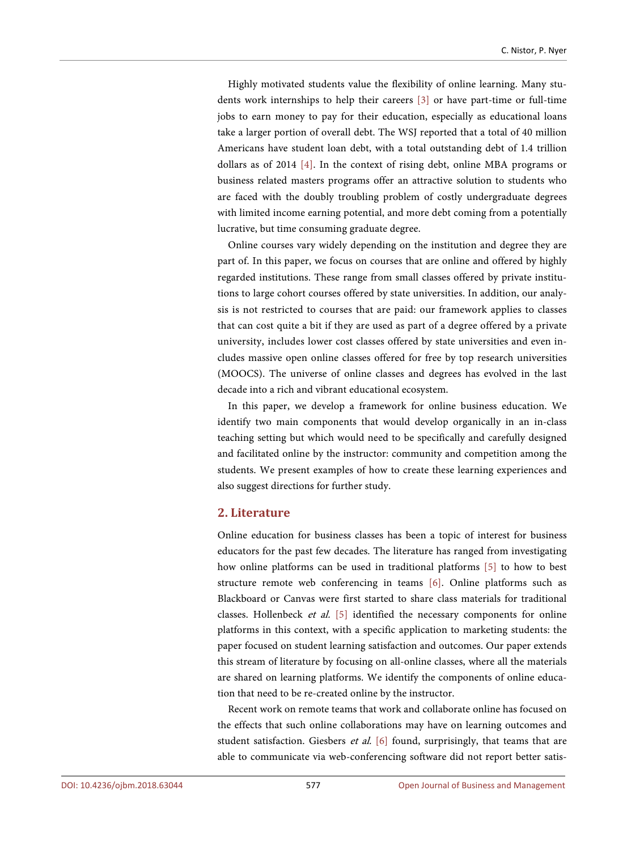Highly motivated students value the flexibility of online learning. Many students work internships to help their careers [\[3\]](#page-9-2) or have part-time or full-time jobs to earn money to pay for their education, especially as educational loans take a larger portion of overall debt. The WSJ reported that a total of 40 million Americans have student loan debt, with a total outstanding debt of 1.4 trillion dollars as of 2014 [\[4\].](#page-9-3) In the context of rising debt, online MBA programs or business related masters programs offer an attractive solution to students who are faced with the doubly troubling problem of costly undergraduate degrees with limited income earning potential, and more debt coming from a potentially lucrative, but time consuming graduate degree.

Online courses vary widely depending on the institution and degree they are part of. In this paper, we focus on courses that are online and offered by highly regarded institutions. These range from small classes offered by private institutions to large cohort courses offered by state universities. In addition, our analysis is not restricted to courses that are paid: our framework applies to classes that can cost quite a bit if they are used as part of a degree offered by a private university, includes lower cost classes offered by state universities and even includes massive open online classes offered for free by top research universities (MOOCS). The universe of online classes and degrees has evolved in the last decade into a rich and vibrant educational ecosystem.

In this paper, we develop a framework for online business education. We identify two main components that would develop organically in an in-class teaching setting but which would need to be specifically and carefully designed and facilitated online by the instructor: community and competition among the students. We present examples of how to create these learning experiences and also suggest directions for further study.

#### **2. Literature**

Online education for business classes has been a topic of interest for business educators for the past few decades. The literature has ranged from investigating how online platforms can be used in traditional platforms [\[5\]](#page-9-4) to how to best structure remote web conferencing in teams [\[6\].](#page-9-5) Online platforms such as Blackboard or Canvas were first started to share class materials for traditional classes. Hollenbeck et al. [\[5\]](#page-9-4) identified the necessary components for online platforms in this context, with a specific application to marketing students: the paper focused on student learning satisfaction and outcomes. Our paper extends this stream of literature by focusing on all-online classes, where all the materials are shared on learning platforms. We identify the components of online education that need to be re-created online by the instructor.

Recent work on remote teams that work and collaborate online has focused on the effects that such online collaborations may have on learning outcomes and student satisfaction. Giesbers et al. [\[6\]](#page-9-5) found, surprisingly, that teams that are able to communicate via web-conferencing software did not report better satis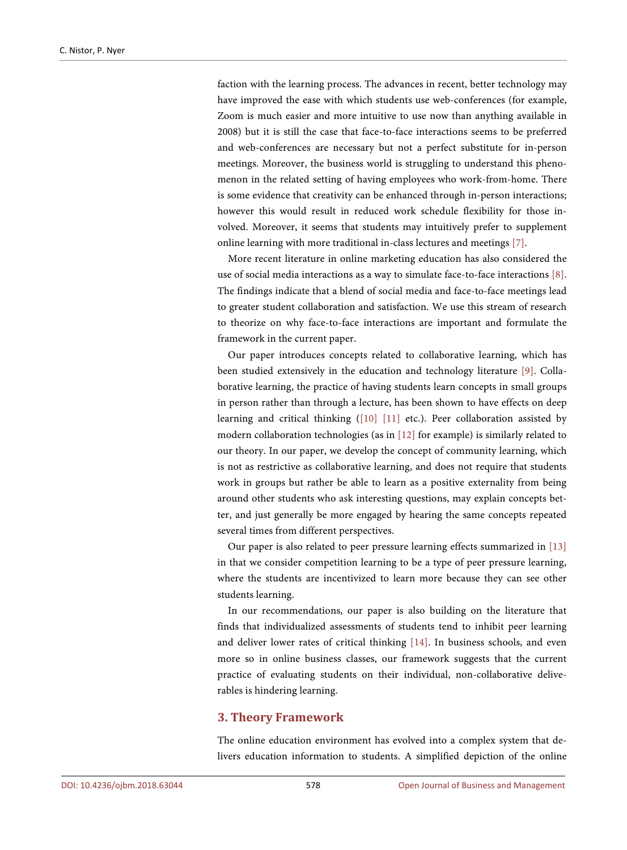faction with the learning process. The advances in recent, better technology may have improved the ease with which students use web-conferences (for example, Zoom is much easier and more intuitive to use now than anything available in 2008) but it is still the case that face-to-face interactions seems to be preferred and web-conferences are necessary but not a perfect substitute for in-person meetings. Moreover, the business world is struggling to understand this phenomenon in the related setting of having employees who work-from-home. There is some evidence that creativity can be enhanced through in-person interactions; however this would result in reduced work schedule flexibility for those involved. Moreover, it seems that students may intuitively prefer to supplement online learning with more traditional in-class lectures and meetings [\[7\].](#page-9-6)

More recent literature in online marketing education has also considered the use of social media interactions as a way to simulate face-to-face interactions [\[8\].](#page-10-0)  The findings indicate that a blend of social media and face-to-face meetings lead to greater student collaboration and satisfaction. We use this stream of research to theorize on why face-to-face interactions are important and formulate the framework in the current paper.

Our paper introduces concepts related to collaborative learning, which has been studied extensively in the education and technology literature [\[9\].](#page-10-1) Collaborative learning, the practice of having students learn concepts in small groups in person rather than through a lecture, has been shown to have effects on deep learning and critical thinking [\(\[10\]](#page-10-2) [\[11\]](#page-10-3) etc.). Peer collaboration assisted by modern collaboration technologies (as in  $[12]$  for example) is similarly related to our theory. In our paper, we develop the concept of community learning, which is not as restrictive as collaborative learning, and does not require that students work in groups but rather be able to learn as a positive externality from being around other students who ask interesting questions, may explain concepts better, and just generally be more engaged by hearing the same concepts repeated several times from different perspectives.

Our paper is also related to peer pressure learning effects summarized in [\[13\]](#page-10-5) in that we consider competition learning to be a type of peer pressure learning, where the students are incentivized to learn more because they can see other students learning.

In our recommendations, our paper is also building on the literature that finds that individualized assessments of students tend to inhibit peer learning and deliver lower rates of critical thinking [\[14\].](#page-10-6) In business schools, and even more so in online business classes, our framework suggests that the current practice of evaluating students on their individual, non-collaborative deliverables is hindering learning.

#### **3. Theory Framework**

The online education environment has evolved into a complex system that delivers education information to students. A simplified depiction of the online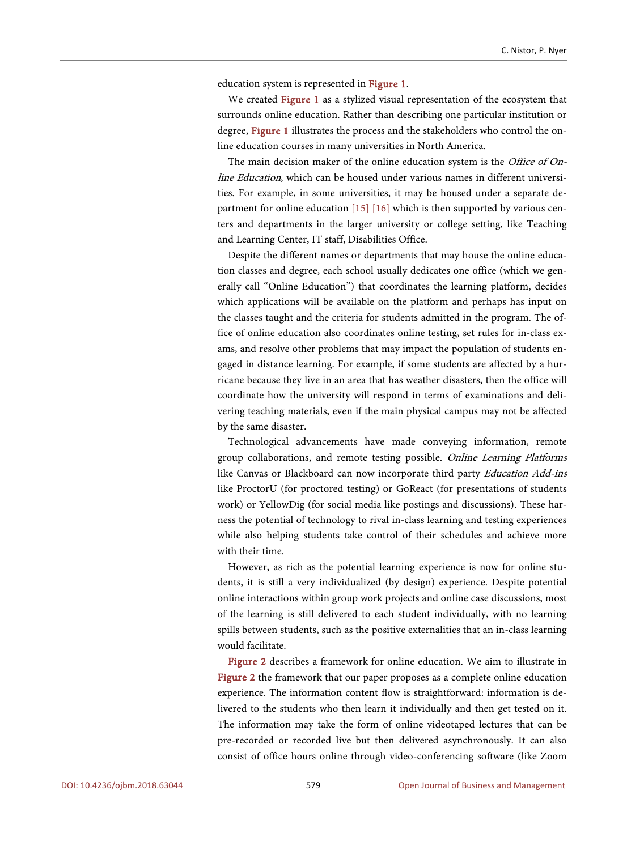education system is represented in [Figure 1.](#page-6-0)

We created [Figure 1](#page-6-0) as a stylized visual representation of the ecosystem that surrounds online education. Rather than describing one particular institution or degree, [Figure 1](#page-6-0) illustrates the process and the stakeholders who control the online education courses in many universities in North America.

The main decision maker of the online education system is the *Office of On*line Education, which can be housed under various names in different universities. For example, in some universities, it may be housed under a separate department for online education [\[15\]](#page-10-7) [\[16\]](#page-10-8) which is then supported by various centers and departments in the larger university or college setting, like Teaching and Learning Center, IT staff, Disabilities Office.

Despite the different names or departments that may house the online education classes and degree, each school usually dedicates one office (which we generally call "Online Education") that coordinates the learning platform, decides which applications will be available on the platform and perhaps has input on the classes taught and the criteria for students admitted in the program. The office of online education also coordinates online testing, set rules for in-class exams, and resolve other problems that may impact the population of students engaged in distance learning. For example, if some students are affected by a hurricane because they live in an area that has weather disasters, then the office will coordinate how the university will respond in terms of examinations and delivering teaching materials, even if the main physical campus may not be affected by the same disaster.

Technological advancements have made conveying information, remote group collaborations, and remote testing possible. Online Learning Platforms like Canvas or Blackboard can now incorporate third party Education Add-ins like ProctorU (for proctored testing) or GoReact (for presentations of students work) or YellowDig (for social media like postings and discussions). These harness the potential of technology to rival in-class learning and testing experiences while also helping students take control of their schedules and achieve more with their time.

However, as rich as the potential learning experience is now for online students, it is still a very individualized (by design) experience. Despite potential online interactions within group work projects and online case discussions, most of the learning is still delivered to each student individually, with no learning spills between students, such as the positive externalities that an in-class learning would facilitate.

[Figure 2](#page-6-1) describes a framework for online education. We aim to illustrate in [Figure 2](#page-6-1) the framework that our paper proposes as a complete online education experience. The information content flow is straightforward: information is delivered to the students who then learn it individually and then get tested on it. The information may take the form of online videotaped lectures that can be pre-recorded or recorded live but then delivered asynchronously. It can also consist of office hours online through video-conferencing software (like Zoom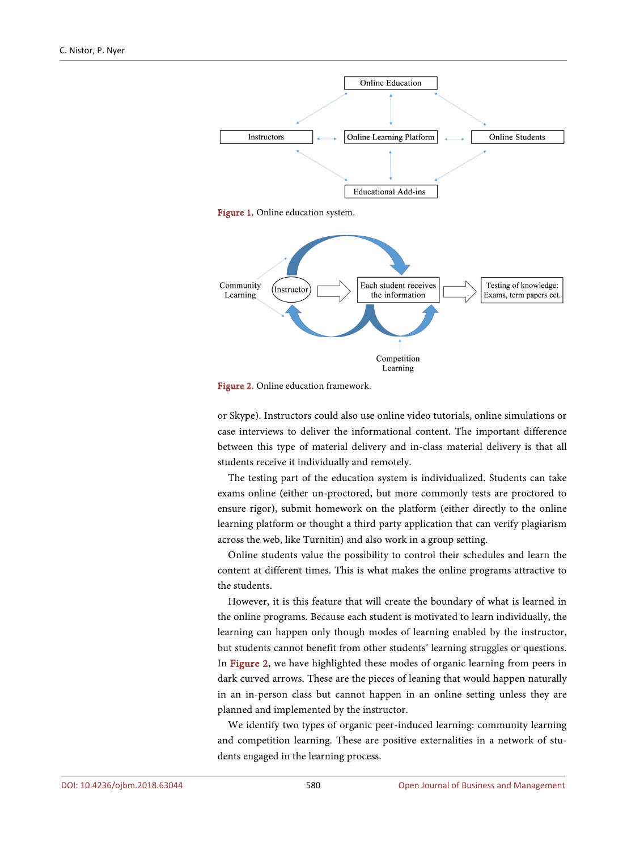<span id="page-6-0"></span>

<span id="page-6-1"></span>



or Skype). Instructors could also use online video tutorials, online simulations or case interviews to deliver the informational content. The important difference between this type of material delivery and in-class material delivery is that all students receive it individually and remotely.

The testing part of the education system is individualized. Students can take exams online (either un-proctored, but more commonly tests are proctored to ensure rigor), submit homework on the platform (either directly to the online learning platform or thought a third party application that can verify plagiarism across the web, like Turnitin) and also work in a group setting.

Online students value the possibility to control their schedules and learn the content at different times. This is what makes the online programs attractive to the students.

However, it is this feature that will create the boundary of what is learned in the online programs. Because each student is motivated to learn individually, the learning can happen only though modes of learning enabled by the instructor, but students cannot benefit from other students' learning struggles or questions. In [Figure 2,](#page-6-1) we have highlighted these modes of organic learning from peers in dark curved arrows. These are the pieces of leaning that would happen naturally in an in-person class but cannot happen in an online setting unless they are planned and implemented by the instructor.

We identify two types of organic peer-induced learning: community learning and competition learning. These are positive externalities in a network of students engaged in the learning process.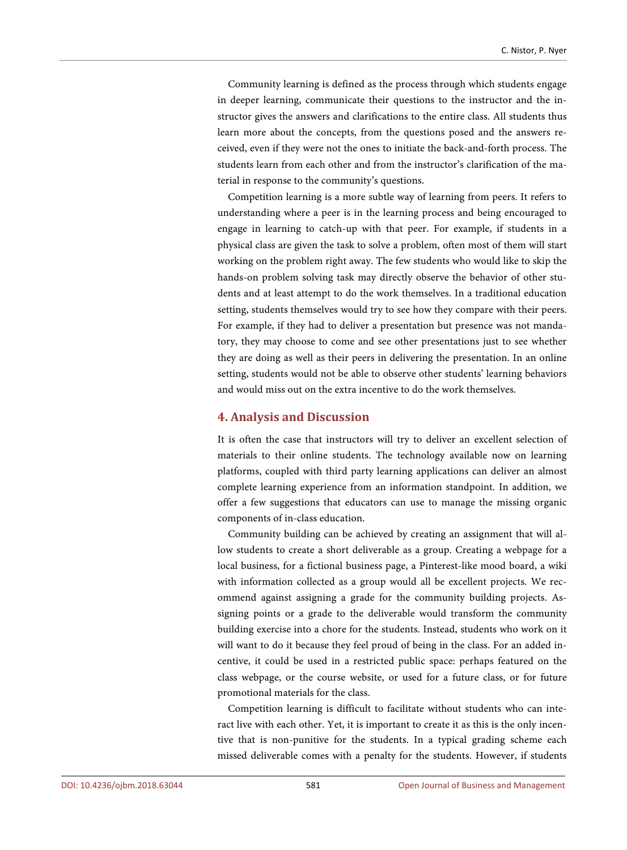Community learning is defined as the process through which students engage in deeper learning, communicate their questions to the instructor and the instructor gives the answers and clarifications to the entire class. All students thus learn more about the concepts, from the questions posed and the answers received, even if they were not the ones to initiate the back-and-forth process. The students learn from each other and from the instructor's clarification of the material in response to the community's questions.

Competition learning is a more subtle way of learning from peers. It refers to understanding where a peer is in the learning process and being encouraged to engage in learning to catch-up with that peer. For example, if students in a physical class are given the task to solve a problem, often most of them will start working on the problem right away. The few students who would like to skip the hands-on problem solving task may directly observe the behavior of other students and at least attempt to do the work themselves. In a traditional education setting, students themselves would try to see how they compare with their peers. For example, if they had to deliver a presentation but presence was not mandatory, they may choose to come and see other presentations just to see whether they are doing as well as their peers in delivering the presentation. In an online setting, students would not be able to observe other students' learning behaviors and would miss out on the extra incentive to do the work themselves.

#### **4. Analysis and Discussion**

It is often the case that instructors will try to deliver an excellent selection of materials to their online students. The technology available now on learning platforms, coupled with third party learning applications can deliver an almost complete learning experience from an information standpoint. In addition, we offer a few suggestions that educators can use to manage the missing organic components of in-class education.

Community building can be achieved by creating an assignment that will allow students to create a short deliverable as a group. Creating a webpage for a local business, for a fictional business page, a Pinterest-like mood board, a wiki with information collected as a group would all be excellent projects. We recommend against assigning a grade for the community building projects. Assigning points or a grade to the deliverable would transform the community building exercise into a chore for the students. Instead, students who work on it will want to do it because they feel proud of being in the class. For an added incentive, it could be used in a restricted public space: perhaps featured on the class webpage, or the course website, or used for a future class, or for future promotional materials for the class.

Competition learning is difficult to facilitate without students who can interact live with each other. Yet, it is important to create it as this is the only incentive that is non-punitive for the students. In a typical grading scheme each missed deliverable comes with a penalty for the students. However, if students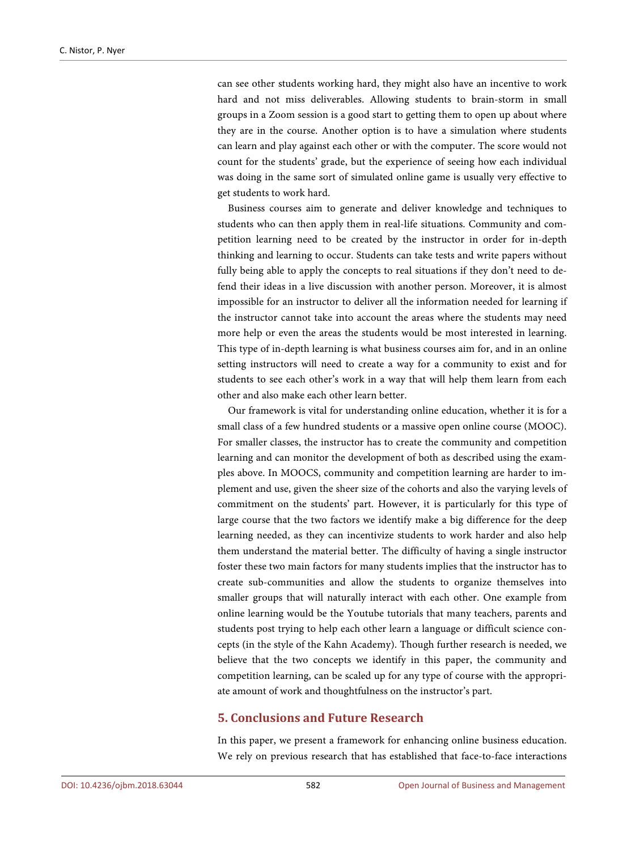can see other students working hard, they might also have an incentive to work hard and not miss deliverables. Allowing students to brain-storm in small groups in a Zoom session is a good start to getting them to open up about where they are in the course. Another option is to have a simulation where students can learn and play against each other or with the computer. The score would not count for the students' grade, but the experience of seeing how each individual was doing in the same sort of simulated online game is usually very effective to get students to work hard.

Business courses aim to generate and deliver knowledge and techniques to students who can then apply them in real-life situations. Community and competition learning need to be created by the instructor in order for in-depth thinking and learning to occur. Students can take tests and write papers without fully being able to apply the concepts to real situations if they don't need to defend their ideas in a live discussion with another person. Moreover, it is almost impossible for an instructor to deliver all the information needed for learning if the instructor cannot take into account the areas where the students may need more help or even the areas the students would be most interested in learning. This type of in-depth learning is what business courses aim for, and in an online setting instructors will need to create a way for a community to exist and for students to see each other's work in a way that will help them learn from each other and also make each other learn better.

Our framework is vital for understanding online education, whether it is for a small class of a few hundred students or a massive open online course (MOOC). For smaller classes, the instructor has to create the community and competition learning and can monitor the development of both as described using the examples above. In MOOCS, community and competition learning are harder to implement and use, given the sheer size of the cohorts and also the varying levels of commitment on the students' part. However, it is particularly for this type of large course that the two factors we identify make a big difference for the deep learning needed, as they can incentivize students to work harder and also help them understand the material better. The difficulty of having a single instructor foster these two main factors for many students implies that the instructor has to create sub-communities and allow the students to organize themselves into smaller groups that will naturally interact with each other. One example from online learning would be the Youtube tutorials that many teachers, parents and students post trying to help each other learn a language or difficult science concepts (in the style of the Kahn Academy). Though further research is needed, we believe that the two concepts we identify in this paper, the community and competition learning, can be scaled up for any type of course with the appropriate amount of work and thoughtfulness on the instructor's part.

#### **5. Conclusions and Future Research**

In this paper, we present a framework for enhancing online business education. We rely on previous research that has established that face-to-face interactions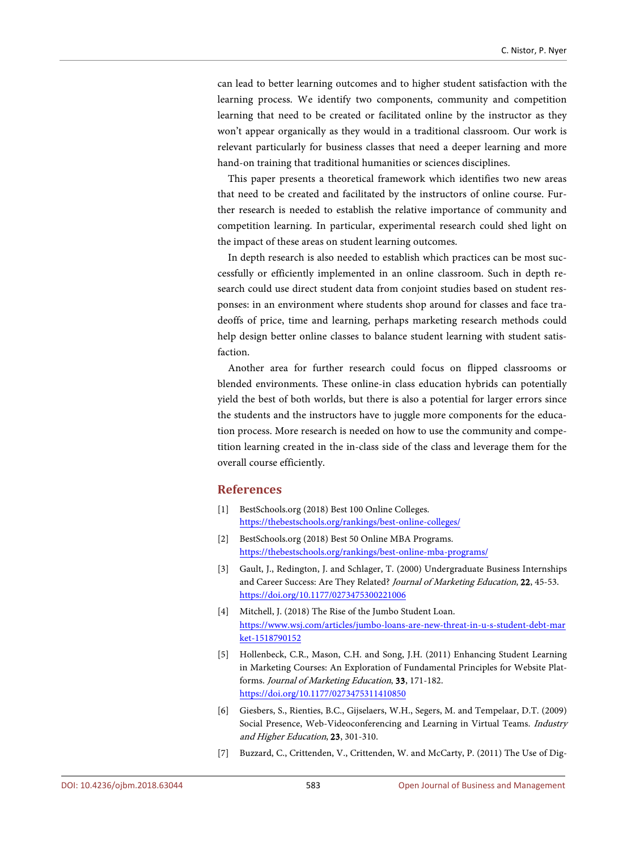can lead to better learning outcomes and to higher student satisfaction with the learning process. We identify two components, community and competition learning that need to be created or facilitated online by the instructor as they won't appear organically as they would in a traditional classroom. Our work is relevant particularly for business classes that need a deeper learning and more hand-on training that traditional humanities or sciences disciplines.

This paper presents a theoretical framework which identifies two new areas that need to be created and facilitated by the instructors of online course. Further research is needed to establish the relative importance of community and competition learning. In particular, experimental research could shed light on the impact of these areas on student learning outcomes.

In depth research is also needed to establish which practices can be most successfully or efficiently implemented in an online classroom. Such in depth research could use direct student data from conjoint studies based on student responses: in an environment where students shop around for classes and face tradeoffs of price, time and learning, perhaps marketing research methods could help design better online classes to balance student learning with student satisfaction.

Another area for further research could focus on flipped classrooms or blended environments. These online-in class education hybrids can potentially yield the best of both worlds, but there is also a potential for larger errors since the students and the instructors have to juggle more components for the education process. More research is needed on how to use the community and competition learning created in the in-class side of the class and leverage them for the overall course efficiently.

#### **References**

- <span id="page-9-0"></span>[1] BestSchools.org (2018) Best 100 Online Colleges. <https://thebestschools.org/rankings/best-online-colleges/>
- <span id="page-9-1"></span>[2] BestSchools.org (2018) Best 50 Online MBA Programs. <https://thebestschools.org/rankings/best-online-mba-programs/>
- <span id="page-9-2"></span>[3] Gault, J., Redington, J. and Schlager, T. (2000) Undergraduate Business Internships and Career Success: Are They Related? Journal of Marketing Education, 22, 45-53. <https://doi.org/10.1177/0273475300221006>
- <span id="page-9-3"></span>[4] Mitchell, J. (2018) The Rise of the Jumbo Student Loan. [https://www.wsj.com/articles/jumbo-loans-are-new-threat-in-u-s-student-debt-mar](https://www.wsj.com/articles/jumbo-loans-are-new-threat-in-u-s-student-debt-market-1518790152) [ket-1518790152](https://www.wsj.com/articles/jumbo-loans-are-new-threat-in-u-s-student-debt-market-1518790152)
- <span id="page-9-4"></span>[5] Hollenbeck, C.R., Mason, C.H. and Song, J.H. (2011) Enhancing Student Learning in Marketing Courses: An Exploration of Fundamental Principles for Website Platforms. Journal of Marketing Education, 33, 171-182. <https://doi.org/10.1177/0273475311410850>
- <span id="page-9-5"></span>[6] Giesbers, S., Rienties, B.C., Gijselaers, W.H., Segers, M. and Tempelaar, D.T. (2009) Social Presence, Web-Videoconferencing and Learning in Virtual Teams. Industry and Higher Education, 23, 301-310.
- <span id="page-9-6"></span>[7] Buzzard, C., Crittenden, V., Crittenden, W. and McCarty, P. (2011) The Use of Dig-